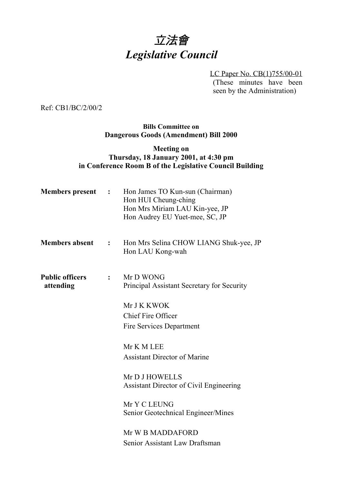# 立法會 *Legislative Council*

LC Paper No. CB(1)755/00-01 (These minutes have been seen by the Administration)

Ref: CB1/BC/2/00/2

#### **Bills Committee on Dangerous Goods (Amendment) Bill 2000**

#### **Meeting on Thursday, 18 January 2001, at 4:30 pm in Conference Room B of the Legislative Council Building**

| <b>Members</b> present              | $\mathcal{L} = \mathcal{L}$ | Hon James TO Kun-sun (Chairman)<br>Hon HUI Cheung-ching<br>Hon Mrs Miriam LAU Kin-yee, JP<br>Hon Audrey EU Yuet-mee, SC, JP |
|-------------------------------------|-----------------------------|-----------------------------------------------------------------------------------------------------------------------------|
| <b>Members absent</b>               | $\mathbf{L}$                | Hon Mrs Selina CHOW LIANG Shuk-yee, JP<br>Hon LAU Kong-wah                                                                  |
| <b>Public officers</b><br>attending | $\ddot{\cdot}$              | Mr D WONG<br>Principal Assistant Secretary for Security                                                                     |
|                                     |                             | Mr J K KWOK                                                                                                                 |
|                                     |                             | <b>Chief Fire Officer</b>                                                                                                   |
|                                     |                             | <b>Fire Services Department</b>                                                                                             |
|                                     |                             | Mr K M LEE                                                                                                                  |
|                                     |                             | <b>Assistant Director of Marine</b>                                                                                         |
|                                     |                             | Mr D J HOWELLS                                                                                                              |
|                                     |                             | Assistant Director of Civil Engineering                                                                                     |
|                                     |                             | Mr Y C LEUNG<br>Senior Geotechnical Engineer/Mines                                                                          |
|                                     |                             | Mr W B MADDAFORD                                                                                                            |
|                                     |                             | Senior Assistant Law Draftsman                                                                                              |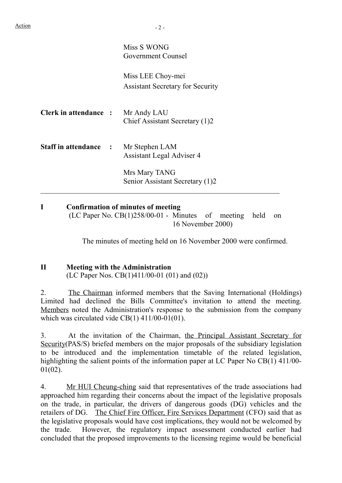|                                      | Miss S WONG<br>Government Counsel                            |
|--------------------------------------|--------------------------------------------------------------|
|                                      | Miss LEE Choy-mei<br><b>Assistant Secretary for Security</b> |
| <b>Clerk in attendance :</b>         | Mr Andy LAU<br>Chief Assistant Secretary (1)2                |
| <b>Staff in attendance : Example</b> | Mr Stephen LAM<br>Assistant Legal Adviser 4                  |
|                                      | Mrs Mary TANG<br>Senior Assistant Secretary (1)2             |
|                                      |                                                              |

**I Confirmation of minutes of meeting** (LC Paper No. CB(1)258/00-01 - Minutes of meeting held on 16 November 2000)

The minutes of meeting held on 16 November 2000 were confirmed.

# **II Meeting with the Administration**

(LC Paper Nos. CB(1)411/00-01 (01) and (02))

2. The Chairman informed members that the Saving International (Holdings) Limited had declined the Bills Committee's invitation to attend the meeting. Members noted the Administration's response to the submission from the company which was circulated vide CB(1) 411/00-01(01).

3. At the invitation of the Chairman, the Principal Assistant Secretary for Security(PAS/S) briefed members on the major proposals of the subsidiary legislation to be introduced and the implementation timetable of the related legislation, highlighting the salient points of the information paper at LC Paper No CB(1) 411/00- 01(02).

4. Mr HUI Cheung-ching said that representatives of the trade associations had approached him regarding their concerns about the impact of the legislative proposals on the trade, in particular, the drivers of dangerous goods (DG) vehicles and the retailers of DG. The Chief Fire Officer, Fire Services Department (CFO) said that as the legislative proposals would have cost implications, they would not be welcomed by the trade. However, the regulatory impact assessment conducted earlier had concluded that the proposed improvements to the licensing regime would be beneficial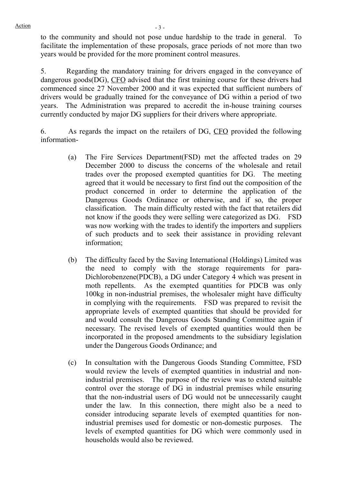to the community and should not pose undue hardship to the trade in general. To facilitate the implementation of these proposals, grace periods of not more than two years would be provided for the more prominent control measures.

5. Regarding the mandatory training for drivers engaged in the conveyance of dangerous goods(DG), CFO advised that the first training course for these drivers had commenced since 27 November 2000 and it was expected that sufficient numbers of drivers would be gradually trained for the conveyance of DG within a period of two years. The Administration was prepared to accredit the in-house training courses currently conducted by major DG suppliers for their drivers where appropriate.

6. As regards the impact on the retailers of DG, CFO provided the following information-

- (a) The Fire Services Department(FSD) met the affected trades on 29 December 2000 to discuss the concerns of the wholesale and retail trades over the proposed exempted quantities for DG. The meeting agreed that it would be necessary to first find out the composition of the product concerned in order to determine the application of the Dangerous Goods Ordinance or otherwise, and if so, the proper classification. The main difficulty rested with the fact that retailers did not know if the goods they were selling were categorized as DG. FSD was now working with the trades to identify the importers and suppliers of such products and to seek their assistance in providing relevant information;
- (b) The difficulty faced by the Saving International (Holdings) Limited was the need to comply with the storage requirements for para-Dichlorobenzene(PDCB), a DG under Category 4 which was present in moth repellents. As the exempted quantities for PDCB was only 100kg in non-industrial premises, the wholesaler might have difficulty in complying with the requirements. FSD was prepared to revisit the appropriate levels of exempted quantities that should be provided for and would consult the Dangerous Goods Standing Committee again if necessary. The revised levels of exempted quantities would then be incorporated in the proposed amendments to the subsidiary legislation under the Dangerous Goods Ordinance; and
- (c) In consultation with the Dangerous Goods Standing Committee, FSD would review the levels of exempted quantities in industrial and nonindustrial premises. The purpose of the review was to extend suitable control over the storage of DG in industrial premises while ensuring that the non-industrial users of DG would not be unnecessarily caught under the law. In this connection, there might also be a need to consider introducing separate levels of exempted quantities for nonindustrial premises used for domestic or non-domestic purposes. The levels of exempted quantities for DG which were commonly used in households would also be reviewed.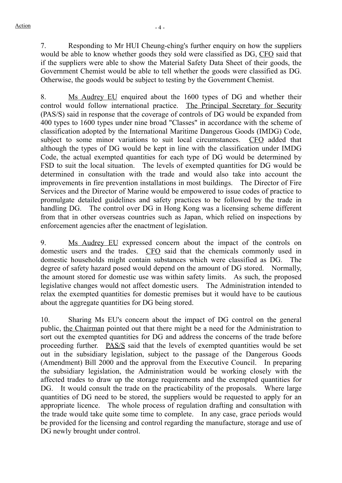7. Responding to Mr HUI Cheung-ching's further enquiry on how the suppliers would be able to know whether goods they sold were classified as DG, CFO said that if the suppliers were able to show the Material Safety Data Sheet of their goods, the Government Chemist would be able to tell whether the goods were classified as DG. Otherwise, the goods would be subject to testing by the Government Chemist.

8. Ms Audrey EU enquired about the 1600 types of DG and whether their control would follow international practice. The Principal Secretary for Security (PAS/S) said in response that the coverage of controls of DG would be expanded from 400 types to 1600 types under nine broad "Classes" in accordance with the scheme of classification adopted by the International Maritime Dangerous Goods (IMDG) Code, subject to some minor variations to suit local circumstances. CFO added that although the types of DG would be kept in line with the classification under IMDG Code, the actual exempted quantities for each type of DG would be determined by FSD to suit the local situation. The levels of exempted quantities for DG would be determined in consultation with the trade and would also take into account the improvements in fire prevention installations in most buildings. The Director of Fire Services and the Director of Marine would be empowered to issue codes of practice to promulgate detailed guidelines and safety practices to be followed by the trade in handling DG. The control over DG in Hong Kong was a licensing scheme different from that in other overseas countries such as Japan, which relied on inspections by enforcement agencies after the enactment of legislation.

9. Ms Audrey EU expressed concern about the impact of the controls on domestic users and the trades. CFO said that the chemicals commonly used in domestic households might contain substances which were classified as DG. The degree of safety hazard posed would depend on the amount of DG stored. Normally, the amount stored for domestic use was within safety limits. As such, the proposed legislative changes would not affect domestic users. The Administration intended to relax the exempted quantities for domestic premises but it would have to be cautious about the aggregate quantities for DG being stored.

10. Sharing Ms EU's concern about the impact of DG control on the general public, the Chairman pointed out that there might be a need for the Administration to sort out the exempted quantities for DG and address the concerns of the trade before proceeding further. PAS/S said that the levels of exempted quantities would be set out in the subsidiary legislation, subject to the passage of the Dangerous Goods (Amendment) Bill 2000 and the approval from the Executive Council. In preparing the subsidiary legislation, the Administration would be working closely with the affected trades to draw up the storage requirements and the exempted quantities for DG. It would consult the trade on the practicability of the proposals. Where large quantities of DG need to be stored, the suppliers would be requested to apply for an appropriate licence. The whole process of regulation drafting and consultation with the trade would take quite some time to complete. In any case, grace periods would be provided for the licensing and control regarding the manufacture, storage and use of DG newly brought under control.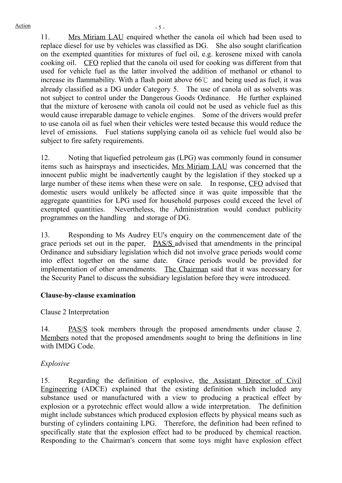11. Mrs Miriam LAU enquired whether the canola oil which had been used to replace diesel for use by vehicles was classified as DG. She also sought clarification on the exempted quantities for mixtures of fuel oil, e.g. kerosene mixed with canola cooking oil. CFO replied that the canola oil used for cooking was different from that used for vehicle fuel as the latter involved the addition of methanol or ethanol to increase its flammability. With a flash point above 66℃ and being used as fuel, it was already classified as a DG under Category 5. The use of canola oil as solvents was not subject to control under the Dangerous Goods Ordinance. He further explained that the mixture of kerosene with canola oil could not be used as vehicle fuel as this would cause irreparable damage to vehicle engines. Some of the drivers would prefer to use canola oil as fuel when their vehicles were tested because this would reduce the level of emissions. Fuel stations supplying canola oil as vehicle fuel would also be subject to fire safety requirements.

12. Noting that liquefied petroleum gas (LPG) was commonly found in consumer items such as hairsprays and insecticides, Mrs Miriam LAU was concerned that the innocent public might be inadvertently caught by the legislation if they stocked up a large number of these items when these were on sale. In response, CFO advised that domestic users would unlikely be affected since it was quite impossible that the aggregate quantities for LPG used for household purposes could exceed the level of exempted quantities. Nevertheless, the Administration would conduct publicity programmes on the handling and storage of DG.

13. Responding to Ms Audrey EU's enquiry on the commencement date of the grace periods set out in the paper, PAS/S advised that amendments in the principal Ordinance and subsidiary legislation which did not involve grace periods would come into effect together on the same date. Grace periods would be provided for implementation of other amendments. The Chairman said that it was necessary for the Security Panel to discuss the subsidiary legislation before they were introduced.

#### **Clause-by-clause examination**

Clause 2 Interpretation

14. PAS/S took members through the proposed amendments under clause 2. Members noted that the proposed amendments sought to bring the definitions in line with IMDG Code.

## *Explosive*

15. Regarding the definition of explosive, the Assistant Director of Civil Engineering (ADCE) explained that the existing definition which included any substance used or manufactured with a view to producing a practical effect by explosion or a pyrotechnic effect would allow a wide interpretation. The definition might include substances which produced explosion effects by physical means such as bursting of cylinders containing LPG. Therefore, the definition had been refined to specifically state that the explosion effect had to be produced by chemical reaction. Responding to the Chairman's concern that some toys might have explosion effect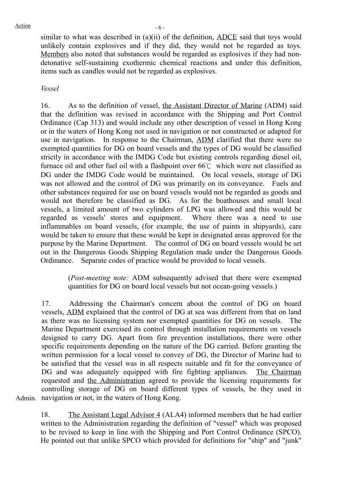similar to what was described in (a)(ii) of the definition, ADCE said that toys would unlikely contain explosives and if they did, they would not be regarded as toys. Members also noted that substances would be regarded as explosives if they had nondetonative self-sustaining exothermic chemical reactions and under this definition, items such as candles would not be regarded as explosives.

#### *Vessel*

16. As to the definition of vessel, the Assistant Director of Marine (ADM) said that the definition was revised in accordance with the Shipping and Port Control Ordinance (Cap 313) and would include any other description of vessel in Hong Kong or in the waters of Hong Kong not used in navigation or not constructed or adapted for use in navigation. In response to the Chairman, ADM clarified that there were no exempted quantities for DG on board vessels and the types of DG would be classified strictly in accordance with the IMDG Code but existing controls regarding diesel oil, furnace oil and other fuel oil with a flashpoint over 66℃ which were not classified as DG under the IMDG Code would be maintained. On local vessels, storage of DG was not allowed and the control of DG was primarily on its conveyance. Fuels and other substances required for use on board vessels would not be regarded as goods and would not therefore be classified as DG. As for the boathouses and small local vessels, a limited amount of two cylinders of LPG was allowed and this would be regarded as vessels' stores and equipment. Where there was a need to use inflammables on board vessels, (for example, the use of paints in shipyards), care would be taken to ensure that these would be kept in designated areas approved for the purpose by the Marine Department. The control of DG on board vessels would be set out in the Dangerous Goods Shipping Regulation made under the Dangerous Goods Ordinance. Separate codes of practice would be provided to local vessels.

> (*Post-meeting note:* ADM subsequently advised that there were exempted quantities for DG on board local vessels but not ocean-going vessels.)

Admin. navigation or not, in the waters of Hong Kong. 17. Addressing the Chairman's concern about the control of DG on board vessels, ADM explained that the control of DG at sea was different from that on land as there was no licensing system nor exempted quantities for DG on vessels. The Marine Department exercised its control through installation requirements on vessels designed to carry DG. Apart from fire prevention installations, there were other specific requirements depending on the nature of the DG carried. Before granting the written permission for a local vessel to convey of DG, the Director of Marine had to be satisfied that the vessel was in all respects suitable and fit for the conveyance of DG and was adequately equipped with fire fighting appliances. The Chairman requested and the Administration agreed to provide the licensing requirements for controlling storage of DG on board different types of vessels, be they used in

18. The Assistant Legal Advisor 4 (ALA4) informed members that he had earlier written to the Administration regarding the definition of "vessel" which was proposed to be revised to keep in line with the Shipping and Port Control Ordinance (SPCO). He pointed out that unlike SPCO which provided for definitions for "ship" and "junk"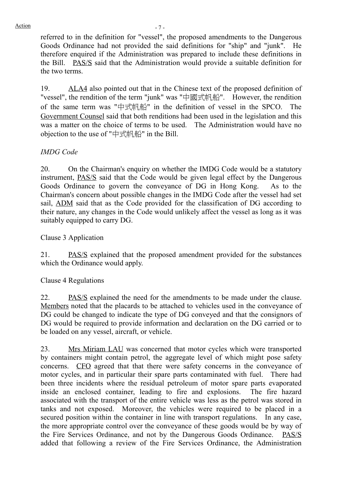referred to in the definition for "vessel", the proposed amendments to the Dangerous Goods Ordinance had not provided the said definitions for "ship" and "junk". He therefore enquired if the Administration was prepared to include these definitions in the Bill. PAS/S said that the Administration would provide a suitable definition for the two terms.

19. ALA4 also pointed out that in the Chinese text of the proposed definition of "vessel", the rendition of the term "junk" was "中國式帆船". However, the rendition of the same term was " $\pm \pm \frac{1}{2}$   $\frac{1}{2}$  as the definition of vessel in the SPCO. The Government Counsel said that both renditions had been used in the legislation and this was a matter on the choice of terms to be used. The Administration would have no objection to the use of " $\# \# \# \#''$  in the Bill.

## *IMDG Code*

20. On the Chairman's enquiry on whether the IMDG Code would be a statutory instrument, PAS/S said that the Code would be given legal effect by the Dangerous Goods Ordinance to govern the conveyance of DG in Hong Kong. As to the Chairman's concern about possible changes in the IMDG Code after the vessel had set sail, ADM said that as the Code provided for the classification of DG according to their nature, any changes in the Code would unlikely affect the vessel as long as it was suitably equipped to carry DG.

Clause 3 Application

21. PAS/S explained that the proposed amendment provided for the substances which the Ordinance would apply.

Clause 4 Regulations

22. PAS/S explained the need for the amendments to be made under the clause. Members noted that the placards to be attached to vehicles used in the conveyance of DG could be changed to indicate the type of DG conveyed and that the consignors of DG would be required to provide information and declaration on the DG carried or to be loaded on any vessel, aircraft, or vehicle.

23. Mrs Miriam LAU was concerned that motor cycles which were transported by containers might contain petrol, the aggregate level of which might pose safety concerns. CFO agreed that that there were safety concerns in the conveyance of motor cycles, and in particular their spare parts contaminated with fuel. There had been three incidents where the residual petroleum of motor spare parts evaporated inside an enclosed container, leading to fire and explosions. The fire hazard associated with the transport of the entire vehicle was less as the petrol was stored in tanks and not exposed. Moreover, the vehicles were required to be placed in a secured position within the container in line with transport regulations. In any case, the more appropriate control over the conveyance of these goods would be by way of the Fire Services Ordinance, and not by the Dangerous Goods Ordinance. PAS/S added that following a review of the Fire Services Ordinance, the Administration